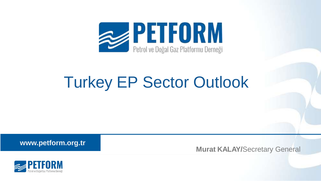

## Turkey EP Sector Outlook

**www.petform.org.tr**

**Murat KALAY/**Secretary General

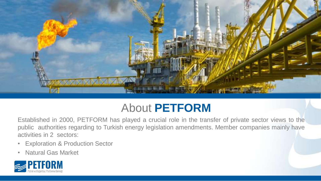

## About **PETFORM**

Established in 2000, PETFORM has played a crucial role in the transfer of private sector views to the public authorities regarding to Turkish energy legislation amendments. Member companies mainly have activities in 2 sectors:

- Exploration & Production Sector
- Natural Gas Market

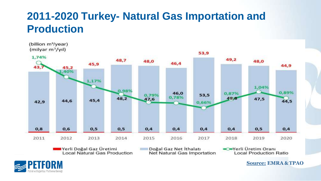### **2011-2020 Turkey- Natural Gas Importation and Production**



■Yerli Doğal Gaz Üretimi Local Natural Gas Production Doğal Gaz Net İthalatı Net Natural Gas Importation Werli Üretim Oranı **Local Production Ratio** 



**Source: EMRA &TPAO**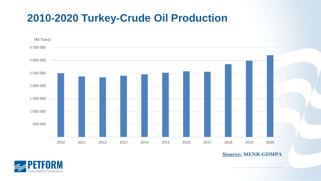#### **2010-2020 Turkey-Crude Oil Production**



**Source: MENR-GDMPA**

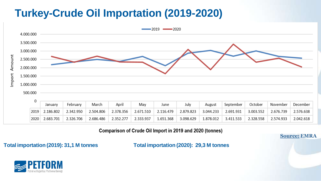## **Turkey-Crude Oil Importation (2019-2020)**



Comparison of Crude Oil Import in 2019 and 2020 (tonnes)

**Source: EMRA**

**Total importation (2019): 31,1 M tonnes Total importation (2020): 29,3 M tonnes**

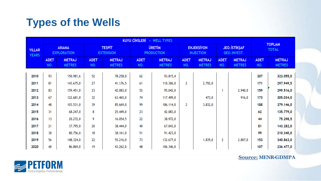## **Types of the Wells**

| <b>YILLAR</b><br><b>YEARS</b> | <b>KUYU CİNSLERİ</b><br>- WELL TYPES |                                |                                   |                                |                                    |                                |                                       |                                |                                     |                                |                               |                                |
|-------------------------------|--------------------------------------|--------------------------------|-----------------------------------|--------------------------------|------------------------------------|--------------------------------|---------------------------------------|--------------------------------|-------------------------------------|--------------------------------|-------------------------------|--------------------------------|
|                               | <b>ARAMA</b><br><b>EXPLORATION</b>   |                                | <b>TESPIT</b><br><b>EXTENSION</b> |                                | <b>URETIM</b><br><b>PRODUCTION</b> |                                | <b>ENJEKSIYON</b><br><b>INJECTION</b> |                                | <b>JEO. İSTİKŞAF</b><br>GEO.INVEST. |                                | <b>TOPLAM</b><br><b>TOTAL</b> |                                |
|                               | <b>ADET</b><br>NO.                   | <b>METRAJ</b><br><b>METRES</b> | <b>ADET</b><br>NO.                | <b>METRAJ</b><br><b>METRES</b> | <b>ADET</b><br>NO.                 | <b>METRAJ</b><br><b>METRES</b> | <b>ADET</b><br>NO.                    | <b>METRAJ</b><br><b>METRES</b> | <b>ADET</b><br>NO.                  | <b>METRAJ</b><br><b>METRES</b> | <b>ADET</b><br>NO.            | <b>METRAJ</b><br><b>METRES</b> |
|                               |                                      |                                |                                   |                                |                                    |                                |                                       |                                |                                     |                                |                               |                                |
| 2010                          | 93                                   | 150.981,6                      | 52                                | 78.258,0                       | 62                                 | 93.815,4                       |                                       |                                |                                     |                                | 207                           | 323.055,0                      |
| 2011                          | 81                                   | 143.675,0                      | 27                                | 41.176,5                       | 61                                 | 110.306,0                      | $\overline{2}$                        | 2.792,0                        |                                     |                                | 171                           | 297.949,5                      |
| 2012                          | 83                                   | 159.451,0                      | 23                                | 42.083,0                       | 52                                 | 95.042,0                       |                                       |                                | 1                                   | 2.940,0                        | 159                           | 299.516,0                      |
| 2013                          | 67                                   | 122.681,0                      | 32                                | 63.465,0                       | 74                                 | 117.499,0                      |                                       | 473,0                          |                                     | 916,0                          | 173                           | 305.034,0                      |
| 2014                          | 48                                   | 103.531,0                      | 39                                | 85.669,0                       | 99                                 | 186.114,0                      | $\overline{2}$                        | 3.832,0                        |                                     |                                | 188                           | 379.146,0                      |
| 2015                          | 31                                   | 68.247,0                       | 8                                 | 25.449,0                       | 23                                 | 42.083,0                       |                                       |                                |                                     |                                | 62                            | 135.779,0                      |
| 2016                          | 13                                   | 20.272,0                       | 9                                 | 16.054,5                       | 22                                 | 38.972,0                       |                                       |                                |                                     |                                | 44                            | 75.298,5                       |
| 2017                          | 21                                   | 37.795,0                       | 20                                | 38.444,0                       | 40                                 | 67.043,0                       |                                       |                                |                                     |                                | 81                            | 143.282,0                      |
| 2018                          | 30                                   | 80.756,0                       | 18                                | 38.161,0                       | 51                                 | 91.423,0                       |                                       |                                |                                     |                                | 99                            | 210.340,0                      |
| 2019                          | 56                                   | 148.324,0                      | 22                                | 55.216,0                       | 73                                 | 132.677,0                      |                                       | 1.839,0                        | 2                                   | 2.807,0                        | 153                           | 340.863,0                      |
| 2020                          | 40                                   | 86.869,0                       | 19                                | 43.262,0                       | 48                                 | 106.346,0                      |                                       |                                |                                     |                                | 107                           | 236.477,0                      |



**Source: MENR-GDMPA**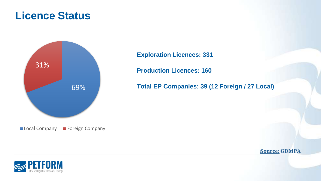#### **Licence Status**



**Exploration Licences: 331**

**Production Licences: 160**

**Total EP Companies: 39 (12 Foreign / 27 Local)**

RM

**Source: GDMPA**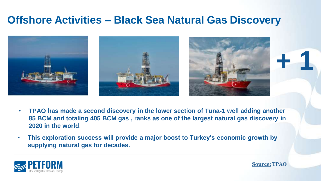#### **Offshore Activities – Black Sea Natural Gas Discovery**



- **TPAO has made a second discovery in the lower section of Tuna-1 well adding another 85 BCM and totaling 405 BCM gas , ranks as one of the largest natural gas discovery in 2020 in the world**.
- **This exploration success will provide a major boost to Turkey's economic growth by supplying natural gas for decades.**



**Source: TPAO**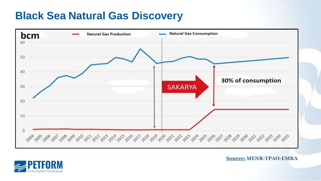#### **Black Sea Natural Gas Discovery**



**Source: MENR-TPAO-EMRA**

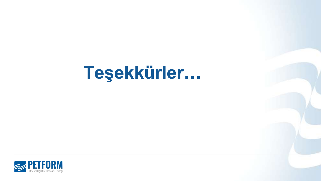# **Teşekkürler…**